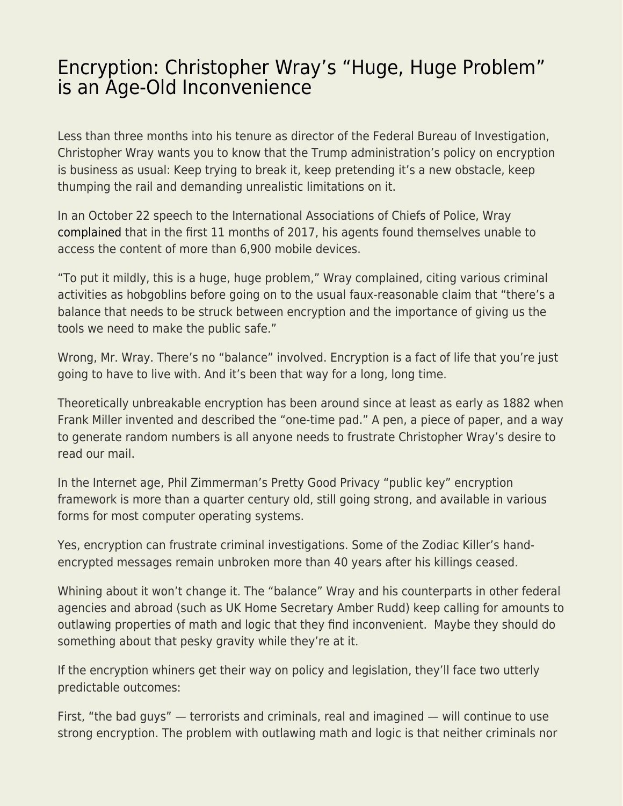## [Encryption: Christopher Wray's "Huge, Huge Problem"](https://everything-voluntary.com/encryption-christopher-wrays-huge-huge-problem-age-old-inconvenience) [is an Age-Old Inconvenience](https://everything-voluntary.com/encryption-christopher-wrays-huge-huge-problem-age-old-inconvenience)

Less than three months into his tenure as director of the Federal Bureau of Investigation, Christopher Wray wants you to know that the Trump administration's policy on encryption is business as usual: Keep trying to break it, keep pretending it's a new obstacle, keep thumping the rail and demanding unrealistic limitations on it.

In an October 22 speech to the International Associations of Chiefs of Police, Wray [complained](https://apnews.com/04791dfbe30a4d3596e8d187b16d837e) that in the first 11 months of 2017, his agents found themselves unable to access the content of more than 6,900 mobile devices.

"To put it mildly, this is a huge, huge problem," Wray complained, citing various criminal activities as hobgoblins before going on to the usual faux-reasonable claim that "there's a balance that needs to be struck between encryption and the importance of giving us the tools we need to make the public safe."

Wrong, Mr. Wray. There's no "balance" involved. Encryption is a fact of life that you're just going to have to live with. And it's been that way for a long, long time.

Theoretically unbreakable encryption has been around since at least as early as 1882 when Frank Miller invented and described the "one-time pad." A pen, a piece of paper, and a way to generate random numbers is all anyone needs to frustrate Christopher Wray's desire to read our mail.

In the Internet age, Phil Zimmerman's Pretty Good Privacy "public key" encryption framework is more than a quarter century old, still going strong, and available in various forms for most computer operating systems.

Yes, encryption can frustrate criminal investigations. Some of the Zodiac Killer's handencrypted messages remain unbroken more than 40 years after his killings ceased.

Whining about it won't change it. The "balance" Wray and his counterparts in other federal agencies and abroad (such as UK Home Secretary Amber Rudd) keep calling for amounts to outlawing properties of math and logic that they find inconvenient. Maybe they should do something about that pesky gravity while they're at it.

If the encryption whiners get their way on policy and legislation, they'll face two utterly predictable outcomes:

First, "the bad guys" — terrorists and criminals, real and imagined — will continue to use strong encryption. The problem with outlawing math and logic is that neither criminals nor